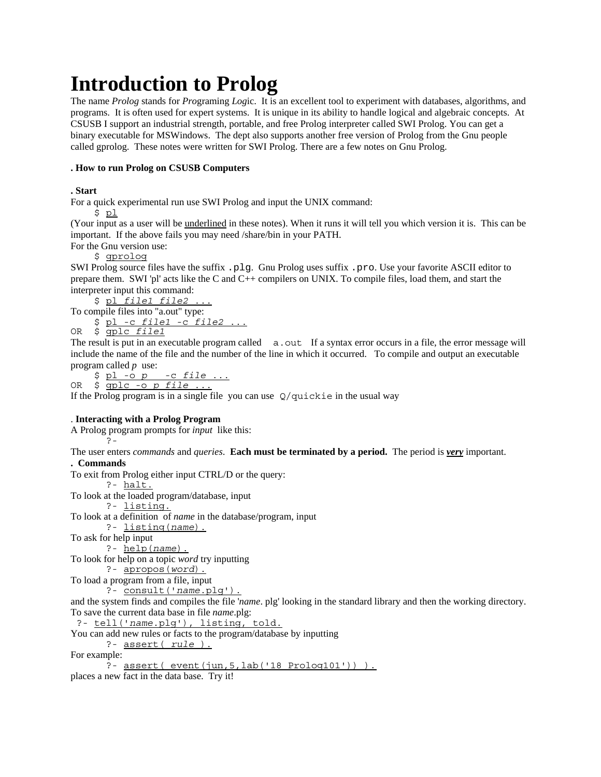# **Introduction to Prolog**

The name *Prolog* stands for *Pro*graming *Log*ic. It is an excellent tool to experiment with databases, algorithms, and programs. It is often used for expert systems. It is unique in its ability to handle logical and algebraic concepts. At CSUSB I support an industrial strength, portable, and free Prolog interpreter called SWI Prolog. You can get a binary executable for MSWindows. The dept also supports another free version of Prolog from the Gnu people called gprolog. These notes were written for SWI Prolog. There are a few notes on Gnu Prolog.

### **. How to run Prolog on CSUSB Computers**

## **. Start**

For a quick experimental run use SWI Prolog and input the UNIX command:

\$ pl

(Your input as a user will be underlined in these notes). When it runs it will tell you which version it is. This can be important. If the above fails you may need /share/bin in your PATH.

For the Gnu version use:

\$ gprolog

SWI Prolog source files have the suffix .plg. Gnu Prolog uses suffix .pro. Use your favorite ASCII editor to prepare them. SWI 'pl' acts like the C and C++ compilers on UNIX. To compile files, load them, and start the interpreter input this command:

 \$ pl *file1 file2* ... To compile files into "a.out" type: \$ pl -c *file1* -c *file2* ...

OR \$ gplc *file1*

The result is put in an executable program called a.out If a syntax error occurs in a file, the error message will include the name of the file and the number of the line in which it occurred. To compile and output an executable program called *p* use:

 \$ pl -o *p* -c *file* ... OR \$ gplc -o *p file* ...

If the Prolog program is in a single file you can use  $Q$ /quickie in the usual way

#### . **Interacting with a Prolog Program**

A Prolog program prompts for *input* like this:

?-

The user enters *commands* and *queries*. **Each must be terminated by a period.** The period is *very* important.

#### **. Commands**

To exit from Prolog either input CTRL/D or the query:

?- halt.

To look at the loaded program/database, input

?- listing.

To look at a definition of *name* in the database/program, input

?- listing(*name*).

To ask for help input

?- help(*name*).

To look for help on a topic *word* try inputting

?- apropos(*word*).

To load a program from a file, input

?- consult('*name*.plg').

and the system finds and compiles the file '*name*. plg' looking in the standard library and then the working directory. To save the current data base in file *name*.plg:

?- tell('*name*.plg'), listing, told.

You can add new rules or facts to the program/database by inputting

?- assert( *rule* ).

For example:

 $\frac{1}{2}$ - assert( event(jun, 5, lab('18 Prolog101')) ).

places a new fact in the data base. Try it!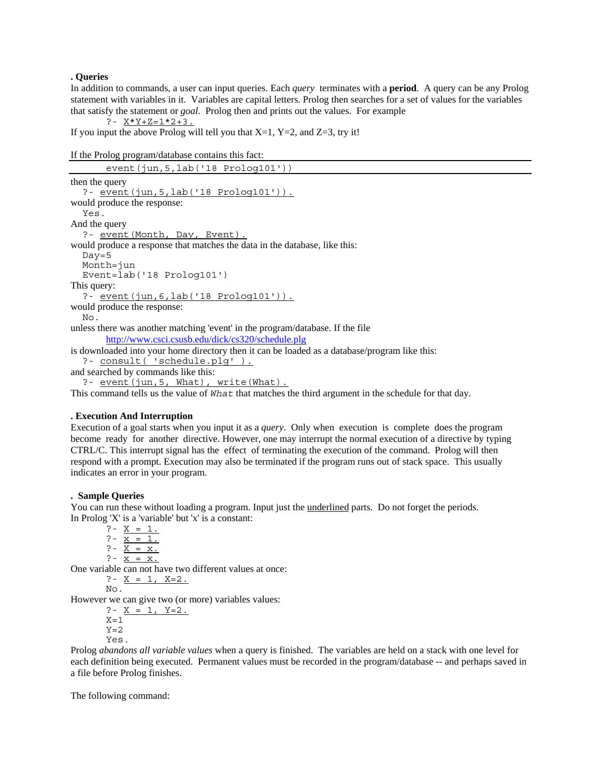#### **. Queries**

In addition to commands, a user can input queries. Each *query* terminates with a **period**. A query can be any Prolog statement with variables in it. Variables are capital letters. Prolog then searches for a set of values for the variables that satisfy the statement or *goal*. Prolog then and prints out the values. For example

?- X\*Y+Z=1\*2+3.

If you input the above Prolog will tell you that  $X=1$ ,  $Y=2$ , and  $Z=3$ , try it!

```
If the Prolog program/database contains this fact:
```

```
event(jun,5,lab('18 Prolog101'))
then the query
   ?- event(jun,5,lab('18 Prolog101')).
would produce the response:
   Yes.
And the query
  ?- event (Month, Day, Event).
would produce a response that matches the data in the database, like this:
  Day = 5 Month=jun
   Event=lab('18 Prolog101')
This query:
   ?- event(jun,6,lab('18 Prolog101')).
would produce the response:
   No.
unless there was another matching 'event' in the program/database. If the file
       http://www.csci.csusb.edu/dick/cs320/schedule.plg
is downloaded into your home directory then it can be loaded as a database/program like this:
   ?- consult( 'schedule.plg' ).
and searched by commands like this:
  ?- event(jun, 5, What), write(What).
```
This command tells us the value of *What* that matches the third argument in the schedule for that day.

#### **. Execution And Interruption**

Execution of a goal starts when you input it as a *query*. Only when execution is complete does the program become ready for another directive. However, one may interrupt the normal execution of a directive by typing CTRL/C. This interrupt signal has the effect of terminating the execution of the command. Prolog will then respond with a prompt. Execution may also be terminated if the program runs out of stack space. This usually indicates an error in your program.

#### **. Sample Queries**

You can run these without loading a program. Input just the underlined parts. Do not forget the periods. In Prolog 'X' is a 'variable' but 'x' is a constant:

 $? - X = 1.$ ?-  $x = 1$ . ?-  $X = x$ . ?-  $\overline{x} = x$ . One variable can not have two different values at once: ?-  $X = 1, X=2.$ 

 $N<sub>O</sub>$ 

However we can give two (or more) variables values:

?-  $X = 1, Y=2.$  $X=1$  $Y=2$ Yes.

Prolog *abandons all variable values* when a query is finished. The variables are held on a stack with one level for each definition being executed. Permanent values must be recorded in the program/database -- and perhaps saved in a file before Prolog finishes.

The following command: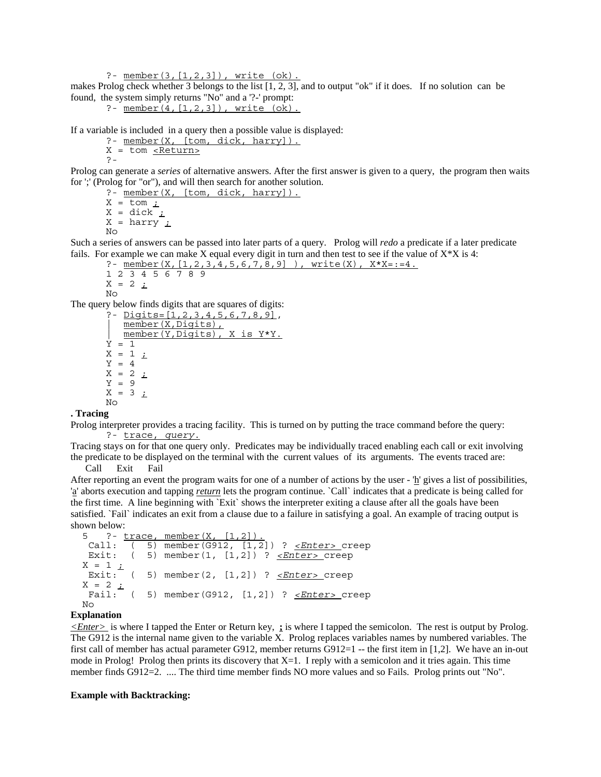?- member(3,[1,2,3]), write (ok).

makes Prolog check whether 3 belongs to the list [1, 2, 3], and to output "ok" if it does. If no solution can be found, the system simply returns "No" and a '?-' prompt:

?-  $member(4, [1, 2, 3])$ , write  $(ok)$ .

If a variable is included in a query then a possible value is displayed:

- ?- member(X, [tom, dick, harry]).
- X = tom <Return> ?-

Prolog can generate a *series* of alternative answers. After the first answer is given to a query, the program then waits for ';' (Prolog for "or"), and will then search for another solution.

?- member(X, [tom, dick, harry]).

 $X = \text{tom }$  ;  $X =$  dick  $\frac{1}{1}$  $X = harry$  ;  $N<sub>O</sub>$ 

Such a series of answers can be passed into later parts of a query. Prolog will *redo* a predicate if a later predicate fails. For example we can make X equal every digit in turn and then test to see if the value of  $X^*X$  is 4:

?- member(X,  $[1, 2, 3, 4, 5, 6, 7, 8, 9]$ ), write(X),  $X \times X = := 4$ .

```
1 2 3 4 5 6 7 8 9
X = 2 ;
```

```
No
```
The query below finds digits that are squares of digits:

```
?- Digits=[1,2,3,4,5,6,7,8,9],
   member(X,Digits),
   | member(Y,Digits), X is Y*Y.
\dot{Y} = 1X = 1 ;
Y = 4X = 2 iY = 9
X = 3 ;
No
```
#### **. Tracing**

Prolog interpreter provides a tracing facility. This is turned on by putting the trace command before the query: ?- trace, *query*.

Tracing stays on for that one query only. Predicates may be individually traced enabling each call or exit involving the predicate to be displayed on the terminal with the current values of its arguments. The events traced are:

Call Exit Fail

After reporting an event the program waits for one of a number of actions by the user  $\frac{h}{n}$  gives a list of possibilities, 'a' aborts execution and tapping *return* lets the program continue. `Call` indicates that a predicate is being called for the first time. A line beginning with `Exit` shows the interpreter exiting a clause after all the goals have been satisfied. `Fail` indicates an exit from a clause due to a failure in satisfying a goal. An example of tracing output is shown below:

```
 5 ?- trace, member(X, [1,2]).
 Call: ( 5) member(G912, [1,2]) ? <Enter> creep
 Exit: ( 5) member(1, [1,2]) ? <Enter> creep
X = 1 ;
 Exit: ( 5) member(2, [1,2]) ? <Enter> creep
X = 2 i Fail: ( 5) member(G912, [1,2]) ? <Enter> creep
 No
```
#### **Explanation**

*<Enter>* is where I tapped the Enter or Return key, **;** is where I tapped the semicolon. The rest is output by Prolog. The G912 is the internal name given to the variable X. Prolog replaces variables names by numbered variables. The first call of member has actual parameter G912, member returns  $G912=1$  -- the first item in [1,2]. We have an in-out mode in Prolog! Prolog then prints its discovery that  $X=1$ . I reply with a semicolon and it tries again. This time member finds G912=2. .... The third time member finds NO more values and so Fails. Prolog prints out "No".

#### **Example with Backtracking:**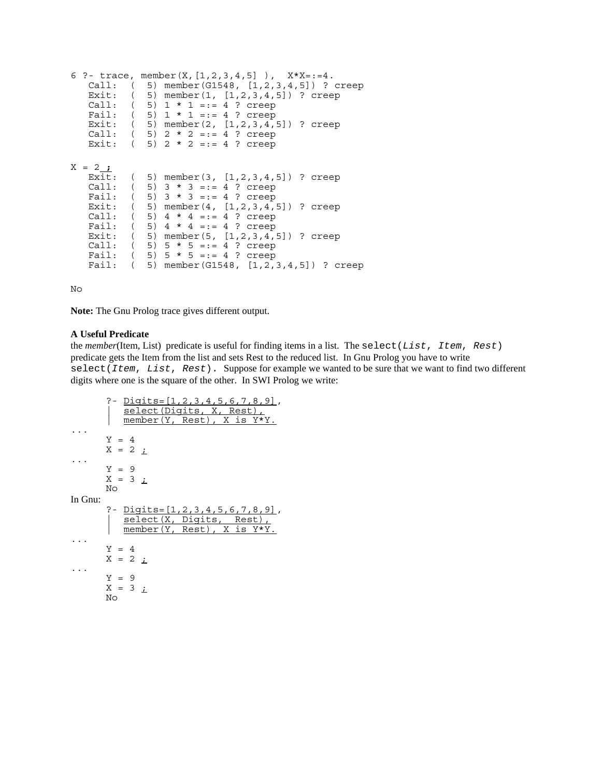```
6 ?- trace, member(X,[1,2,3,4,5] ), X*X=:=4.
    Call: ( 5) member(G1548, [1,2,3,4,5]) ? creep
    Exit: ( 5) member(1, [1,2,3,4,5]) ? creep
   Call: (5) 1 * 1 =:= 4 ? creep<br>Fail: (5) 1 * 1 =:= 4 ? creep
          (5) 1 * 1 =:= 4 ? creep
   Exit: (5) member(2, [1, 2, 3, 4, 5]) ? creep
   Call: (5) 2 * 2 = := 4 ? creep
   Exit: (5) 2 * 2 =:= 4 ? creep
X = 2 ;
    Exit: ( 5) member(3, [1,2,3,4,5]) ? creep
   Call: (5) 3 * 3 = := 4 ? creep
   Fail: (5) 3 * 3 =:= 4 ? creep
   Exit: (5) member(4, [1, 2, 3, 4, 5]) ? creep
   Call: (5) 4 * 4 = := 4 ? creep<br>Fail: (5) 4 * 4 = := 4 ? creep
          (5) 4 * 4 =:= 4 ? creep
    Exit: ( 5) member(5, [1,2,3,4,5]) ? creep
   Call: (5) 5 * 5 =:= 4 ? creep
   Fail: ( 5) 5 * 5 == 4 ? creep
   Fail: (5) member(G1548, [1,2,3,4,5]) ? creep
```
No

**Note:** The Gnu Prolog trace gives different output.

#### **A Useful Predicate**

the *member*(Item, List) predicate is useful for finding items in a list. The select(*List*, *Item*, *Rest*) predicate gets the Item from the list and sets Rest to the reduced list. In Gnu Prolog you have to write select(*Item*, *List*, *Rest*). Suppose for example we wanted to be sure that we want to find two different digits where one is the square of the other. In SWI Prolog we write:

```
?- <u>Digits=[1,2,3,4,5,6,7,8,9]</u>,<br>| select(Digits, X, Rest),
\frac{m \cdot N}{m \cdot N} member(Y, Rest), X is Y*Y.
        Y = 4X = 2;
...
        Y = 9X = 3 ;
        N<sub>O</sub>In Gnu:
        ?- Digits=[1,2,3,4,5,6,7,8,9],
        | select(X, Digits, Rest),
| member(Y, Rest), X is Y*Y.
        Y = 4X = 2 ;
...
        Y = 9X = 3 ;
       N<sub>O</sub>
```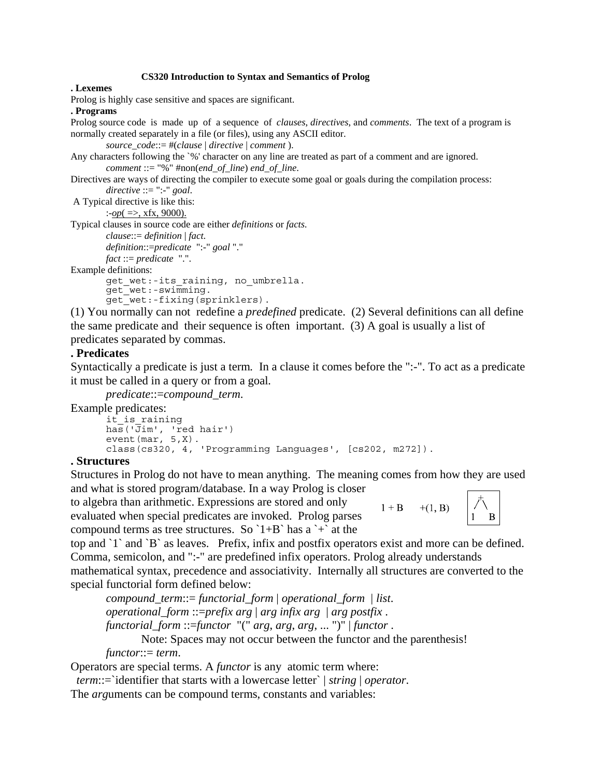#### **CS320 Introduction to Syntax and Semantics of Prolog**

#### **. Lexemes**

Prolog is highly case sensitive and spaces are significant.

## **. Programs**

Prolog source code is made up of a sequence of *clauses*, *directives*, and *comments*. The text of a program is normally created separately in a file (or files), using any ASCII editor.

```
source_code::= #(clause | directive | comment ).
```

```
Any characters following the `%' character on any line are treated as part of a comment and are ignored.
        comment ::= "%" #non(end_of_line) end_of_line.
```

```
Directives are ways of directing the compiler to execute some goal or goals during the compilation process:
         directive ::= ":-" goal.
```

```
 A Typical directive is like this:
```

```
:-op( =>, xfx, 9000).
```
Typical clauses in source code are either *definitions* or *facts.*

```
clause::= definition | fact.
```
*definition*::=*predicate* ":-" *goal* "." *fact* ::= *predicate* ".".

Example definitions:

```
get wet:-its raining, no umbrella.
get_wet:-swimming.
```
get\_wet:-fixing(sprinklers).

(1) You normally can not redefine a *predefined* predicate. (2) Several definitions can all define the same predicate and their sequence is often important. (3) A goal is usually a list of predicates separated by commas.

## **. Predicates**

Syntactically a predicate is just a term*.* In a clause it comes before the ":-". To act as a predicate it must be called in a query or from a goal*.*

*predicate*::=*compound\_term*.

Example predicates:

```
it is raining
has('Jim', 'red hair')
event(max, 5, X).
class(cs320, 4, 'Programming Languages', [cs202, m272]).
```
## **. Structures**

Structures in Prolog do not have to mean anything. The meaning comes from how they are used and what is stored program/database. In a way Prolog is closer

to algebra than arithmetic. Expressions are stored and only evaluated when special predicates are invoked. Prolog parses compound terms as tree structures. So  $1+B$  has a  $+$  at the



top and `1` and `B` as leaves. Prefix, infix and postfix operators exist and more can be defined. Comma, semicolon, and ":-" are predefined infix operators. Prolog already understands

mathematical syntax, precedence and associativity. Internally all structures are converted to the special functorial form defined below:

*compound\_term*::= *functorial\_form* | *operational\_form* | *list*. *operational\_form* ::=*prefix arg* | *arg infix arg* | *arg postfix* . *functorial\_form* ::=*functor* "(" *arg*, *arg*, *arg*, ... ")" | *functor* .

Note: Spaces may not occur between the functor and the parenthesis!

*functor*::= *term*.

Operators are special terms. A *functor* is any atomic term where:

*term*::=`identifier that starts with a lowercase letter` | *string* | *operator*.

The *arg*uments can be compound terms, constants and variables: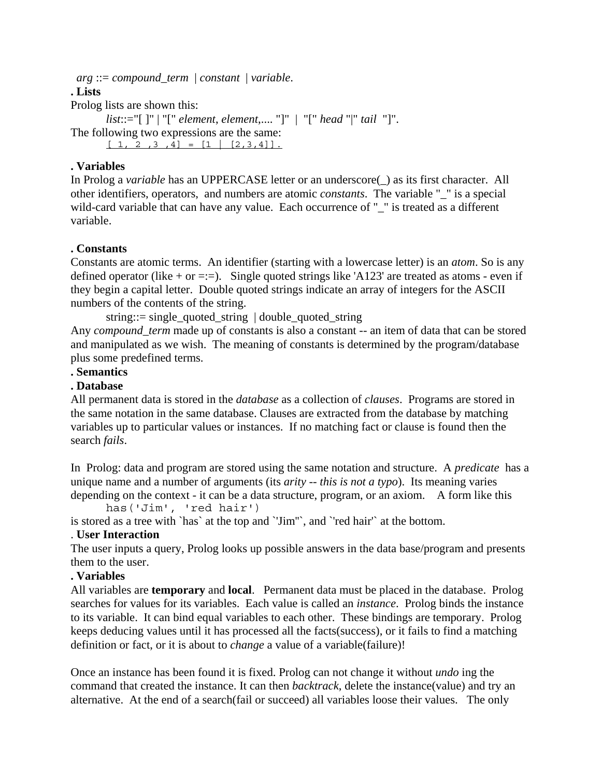*arg* ::= *compound\_term* | *constant* | *variable*.

**. Lists**

Prolog lists are shown this:

*list*::="[ ]" | "[" *element*, *element*,.... "]" | "[" *head* "|" *tail* "]". The following two expressions are the same:

 $[1, 2, 3, 4] = [1 | [2, 3, 4]].$ 

## **. Variables**

In Prolog a *variable* has an UPPERCASE letter or an underscore(\_) as its first character. All other identifiers, operators, and numbers are atomic *constants*. The variable "\_" is a special wild-card variable that can have any value. Each occurrence of "\_" is treated as a different variable.

# **. Constants**

Constants are atomic terms. An identifier (starting with a lowercase letter) is an *atom*. So is any defined operator (like  $+$  or  $=:=$ ). Single quoted strings like 'A123' are treated as atoms - even if they begin a capital letter. Double quoted strings indicate an array of integers for the ASCII numbers of the contents of the string.

string::= single\_quoted\_string | double\_quoted\_string

Any *compound\_term* made up of constants is also a constant -- an item of data that can be stored and manipulated as we wish. The meaning of constants is determined by the program/database plus some predefined terms.

# **. Semantics**

## **. Database**

All permanent data is stored in the *database* as a collection of *clauses*. Programs are stored in the same notation in the same database. Clauses are extracted from the database by matching variables up to particular values or instances. If no matching fact or clause is found then the search *fails*.

In Prolog: data and program are stored using the same notation and structure. A *predicate* has a unique name and a number of arguments (its *arity -- this is not a typo*). Its meaning varies depending on the context - it can be a data structure, program, or an axiom. A form like this

has('Jim', 'red hair')

is stored as a tree with `has` at the top and `'Jim''`, and `'red hair'` at the bottom.

# . **User Interaction**

The user inputs a query, Prolog looks up possible answers in the data base/program and presents them to the user.

## **. Variables**

All variables are **temporary** and **local**. Permanent data must be placed in the database. Prolog searches for values for its variables. Each value is called an *instance*. Prolog binds the instance to its variable. It can bind equal variables to each other. These bindings are temporary. Prolog keeps deducing values until it has processed all the facts(success), or it fails to find a matching definition or fact, or it is about to *change* a value of a variable(failure)!

Once an instance has been found it is fixed. Prolog can not change it without *undo* ing the command that created the instance. It can then *backtrack*, delete the instance(value) and try an alternative. At the end of a search(fail or succeed) all variables loose their values. The only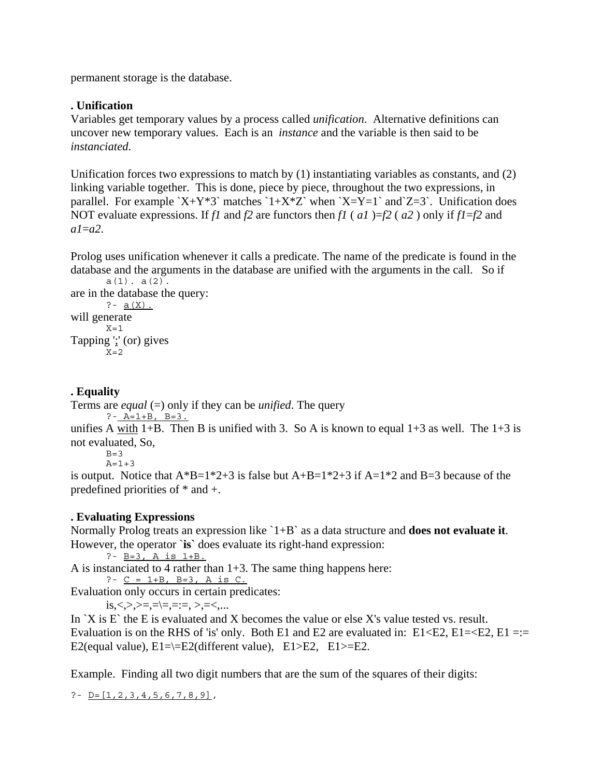permanent storage is the database.

## **. Unification**

Variables get temporary values by a process called *unification*. Alternative definitions can uncover new temporary values. Each is an *instance* and the variable is then said to be *instanciated*.

Unification forces two expressions to match by (1) instantiating variables as constants, and (2) linking variable together. This is done, piece by piece, throughout the two expressions, in parallel. For example  $X+Y*3$ <sup>r</sup> matches  $1+X*Z$ <sup>r</sup> when  $X=Y=1$ <sup>r</sup> and  $Z=3$ <sup>r</sup>. Unification does NOT evaluate expressions. If *f1* and *f2* are functors then *f1* ( *a1* )=*f2* ( *a2* ) only if *f1*=*f2* and *a1*=*a2*.

Prolog uses unification whenever it calls a predicate. The name of the predicate is found in the database and the arguments in the database are unified with the arguments in the call. So if  $a(1)$ .  $a(2)$ .

```
are in the database the query:
       ? - a(X).
will generate
       X = 1Tapping ';' (or) gives
       X = 2
```
# **. Equality**

Terms are *equal* (=) only if they can be *unified*. The query

```
? - A=1+B, B=3.
```
unifies A with 1+B. Then B is unified with 3. So A is known to equal  $1+3$  as well. The  $1+3$  is not evaluated, So,

 $B=3$  $A = 1 + 3$ 

is output. Notice that  $A*B=1*2+3$  is false but  $A+B=1*2+3$  if  $A=1*2$  and  $B=3$  because of the predefined priorities of \* and +.

# **. Evaluating Expressions**

Normally Prolog treats an expression like `1+B` as a data structure and **does not evaluate it**. However, the operator `**is`** does evaluate its right-hand expression:

?-  $B=3$ , A is  $1+B$ .

A is instanciated to 4 rather than 1+3. The same thing happens here:

?-  $C = 1+B$ ,  $B=3$ ,  $A$  is  $C$ .

Evaluation only occurs in certain predicates:

 $is, <, >, > =, = \mid =, = :=, >, = <, \ldots$ 

In  $X$  is E the E is evaluated and X becomes the value or else X's value tested vs. result. Evaluation is on the RHS of 'is' only. Both E1 and E2 are evaluated in: E1<E2, E1= $\leq$ E2, E1 =:= E2(equal value),  $E1=\equiv E2$ (different value),  $E1>E2$ ,  $E1>E2$ .

Example. Finding all two digit numbers that are the sum of the squares of their digits:

? -  $D = [1, 2, 3, 4, 5, 6, 7, 8, 9]$ ,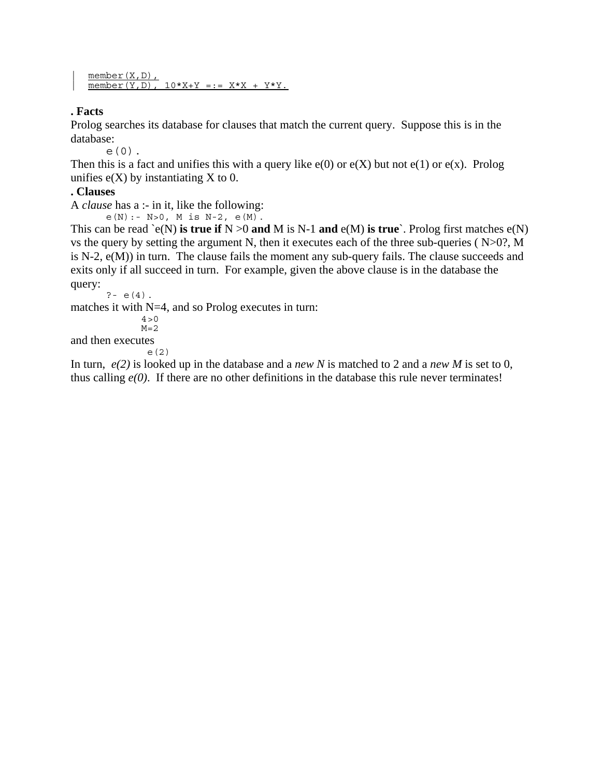```
member(X,D),
\overline{\text{member}(Y, D)}, 10*X+Y == XX + Y*Y.
```
# **. Facts**

Prolog searches its database for clauses that match the current query. Suppose this is in the database:

e(0).

Then this is a fact and unifies this with a query like  $e(0)$  or  $e(X)$  but not  $e(1)$  or  $e(x)$ . Prolog unifies  $e(X)$  by instantiating X to 0.

# **. Clauses**

A *clause* has a :- in it, like the following:

 $e(N): - N > 0$ , M is N-2,  $e(M)$ .

This can be read  $\text{\`e}(N)$  **is true if** N  $>0$  **and** M is N-1 **and**  $\text{e}(M)$  **is true**. Prolog first matches  $\text{e}(N)$ vs the query by setting the argument N, then it executes each of the three sub-queries ( N>0?, M is N-2, e(M)) in turn. The clause fails the moment any sub-query fails. The clause succeeds and exits only if all succeed in turn. For example, given the above clause is in the database the query:

 $? - e(4)$ .

matches it with N=4, and so Prolog executes in turn:

 $4 > 0$  $M=2$ 

and then executes e(2)

In turn, *e(2)* is looked up in the database and a *new N* is matched to 2 and a *new M* is set to 0, thus calling *e(0)*. If there are no other definitions in the database this rule never terminates!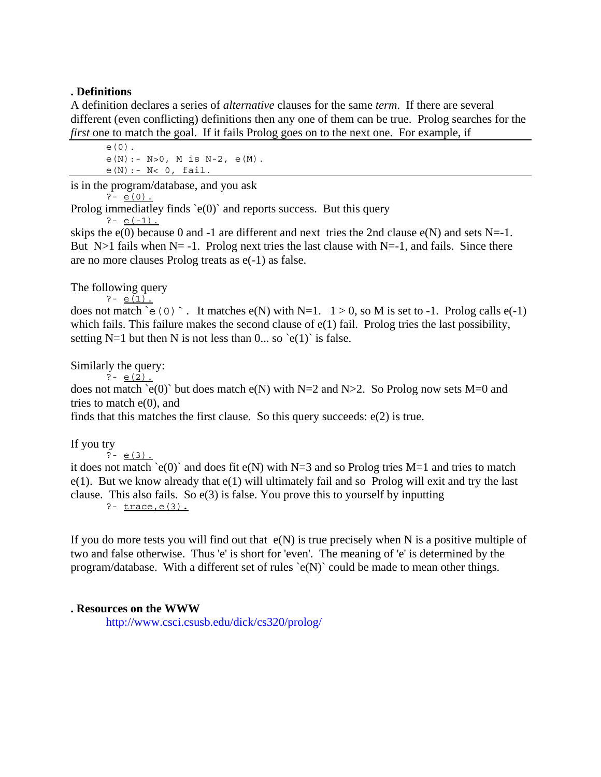## **. Definitions**

A definition declares a series of *alternative* clauses for the same *term*. If there are several different (even conflicting) definitions then any one of them can be true. Prolog searches for the *first* one to match the goal. If it fails Prolog goes on to the next one. For example, if

e(0).  $e(N): - N>0$ , M is N-2,  $e(M)$ . e(N):- N< 0, fail.

is in the program/database, and you ask

 $? - e(0)$ .

Prolog immediatley finds  $\text{`e}(0)$  $\text{`}$  and reports success. But this query

 $? - e(-1)$ .

skips the  $e(0)$  because 0 and -1 are different and next tries the 2nd clause  $e(N)$  and sets N=-1. But N>1 fails when N= -1. Prolog next tries the last clause with N=-1, and fails. Since there are no more clauses Prolog treats as e(-1) as false.

## The following query

 $? - e(1)$ .

does not match `e(0) `. It matches  $e(N)$  with N=1.  $1 > 0$ , so M is set to -1. Prolog calls  $e(-1)$ which fails. This failure makes the second clause of  $e(1)$  fail. Prolog tries the last possibility, setting N=1 but then N is not less than  $0...$  so  $\text{e}(1)$  is false.

Similarly the query:

 $? - e(2)$ .

does not match `e(0)` but does match e(N) with N=2 and N>2. So Prolog now sets M=0 and tries to match  $e(0)$ , and

finds that this matches the first clause. So this query succeeds: e(2) is true.

If you try

 $? - e(3)$ .

it does not match  $\geq e(0)$  and does fit  $e(N)$  with N=3 and so Prolog tries M=1 and tries to match e(1). But we know already that e(1) will ultimately fail and so Prolog will exit and try the last clause. This also fails. So  $e(3)$  is false. You prove this to yourself by inputting ?- trace,e(3)**.**

If you do more tests you will find out that  $e(N)$  is true precisely when N is a positive multiple of two and false otherwise. Thus 'e' is short for 'even'. The meaning of 'e' is determined by the program/database. With a different set of rules `e(N)` could be made to mean other things.

## **. Resources on the WWW**

http://www.csci.csusb.edu/dick/cs320/prolog/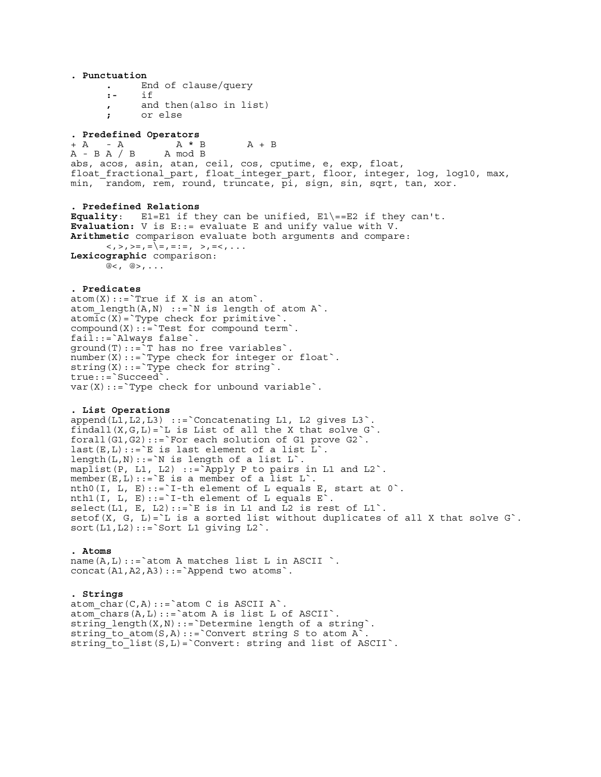**. Punctuation .** End of clause/query **:-** if **,** and then(also in list) **;** or else **. Predefined Operators**<br>+ A - A A \* B + A - A A \* B A + B<br>A - B A / B A mod B  $A - B A / B$ abs, acos, asin, atan, ceil, cos, cputime, e, exp, float, float fractional part, float integer part, floor, integer, log, log10, max, min, random, rem, round, truncate, pi, sign, sin, sqrt, tan, xor. **. Predefined Relations Equality**: E1=E1 if they can be unified, E1\==E2 if they can't. **Evaluation:** V is E::= evaluate E and unify value with V. **Arithmetic** comparison evaluate both arguments and compare:  $\langle \langle , \rangle , \rangle = , = \langle \rangle = , = \rangle = , \rangle = \langle \rangle , = \langle \langle , \rangle , \rangle$ **Lexicographic** comparison:  $@<sub>1</sub> @>$ , ... **. Predicates**   $atom(X):='True if X is an atom'.$  $atom\_length(A,N)$  ::= `N is length of atom A`.  $atomic(X) = Type check for primitive$ .  $compound(X)::=$ `Test for compound term`. fail::=`Always false`. ground(T)::=`T has no free variables`. number(X)::=`Type check for integer or float`.  $string(X)::=\text{Type check for string}$ . true::=`Succeed`.  $var(X)$ ::=`Type check for unbound variable`. **. List Operations** append(L1,L2,L3) ::=`Concatenating L1, L2 gives L3`. findall $(X, G, L) = L$  is List of all the X that solve  $G$ . forall $(G1, G2)$ ::=`For each solution of G1 prove G2`. last(E,L)::= `E is last element of a list  $L$  `. length $(L,N)::=\N$  is length of a list  $L$ . maplist(P, L1, L2) ::= Apply P to pairs in L1 and L2 $\degree$ . member(E,L)::= `E is a member of a list  $L$  `. nth0(I, L, E)::= $\iota$ I-th element of L equals E, start at 0 $\iota$ . nth1(I, L, E)::= `I-th element of L equals  $E$ <sup>'</sup>. select(L1, E, L2)::= `E is in L1 and L2 is rest of L1`. setof(X, G, L)= $\iota$  is a sorted list without duplicates of all X that solve G $\iota$ .  $sort(L1, L2) ::= 'Sort L1 giving L2'.$ **. Atoms** name $(A, L)$ ::=`atom A matches list L in ASCII `. concat $(A1, A2, A3)::=$ `Append two atoms`.

**. Strings** atom  $char(C,A)::=\text{atom }C$  is ASCII A $\hat{ }$ .  $atom$ <sup>-</sup>chars(A,L)::=`atom A is list L of ASCII`. string length $(X,N)::=$ `Determine length of a string`. string\_to\_atom(S,A)::=`Convert string S to atom  $A^{\sim}$ string to list  $(S, L) =$  Convert: string and list of ASCII $\dotsc$ .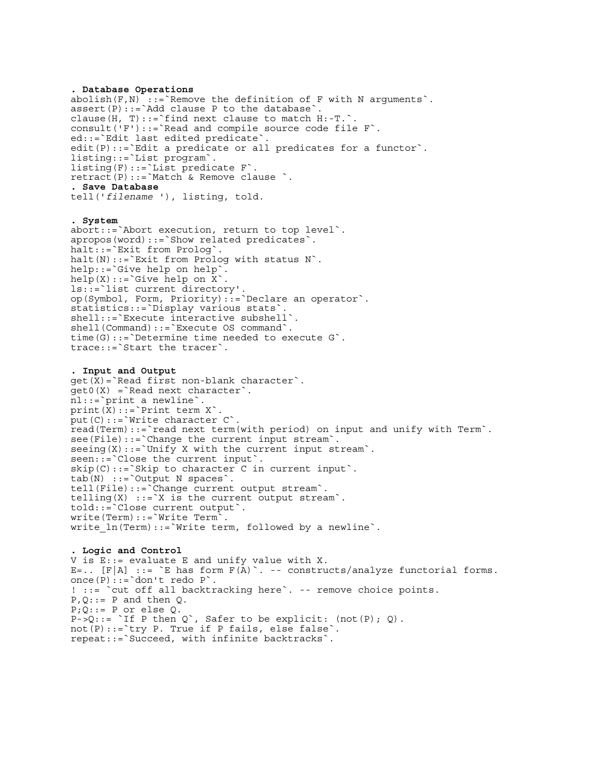**. Database Operations** abolish(F,N) ::=`Remove the definition of F with N arguments`. assert(P)::=`Add clause P to the database`. clause(H, T)::= `find next clause to match  $H:-T.$ ` consult('F')::=`Read and compile source code file F`. ed::=`Edit last edited predicate`. edit(P)::=`Edit a predicate or all predicates for a functor`. listing::=`List program`. listing(F)::=`List predicate F`. retract(P)::=`Match & Remove clause `. **. Save Database** tell('*filename* '), listing, told.

**. System** abort::=`Abort execution, return to top level`. apropos(word)::=`Show related predicates`. halt::=`Exit from Prolog`. halt(N)::=`Exit from Prolog with status N`. help::=`Give help on help`.  $help(X):='Give help on X`$ ls::=`list current directory'. op(Symbol, Form, Priority)::=`Declare an operator`. statistics::=`Display various stats`. shell::=`Execute interactive subshell`. shell(Command)::=`Execute OS command`. time(G)::=`Determine time needed to execute G`. trace::=`Start the tracer`.

**. Input and Output**  $get(X) = 'Read first non-blank character'.$  $qet0(X) =$ 'Read next character'. nl::=`print a newline`. print $(\bar{X})$ : := `Print term  $X$ `. put(C)::= `Write character C`. read(Term)::=`read next term(with period) on input and unify with Term`. see(File)::=`Change the current input stream`.  $\text{seeing}(X) ::= \text{Unify } X \text{ with the current input stream}.$ seen::=`Close the current input`.  $skip(C):='Sky to character C in current input'.$ tab(N) ::=`Output N spaces`. tell(File)::=`Change current output stream`. telling $(X)$  ::=`X is the current output stream`. told::=`Close current output`. write(Term)::=`Write Term`. write  $ln(Term)::=\text{Write term},$  followed by a newline $\text{``}$ .

**. Logic and Control** V is E::= evaluate E and unify value with X. E=..  $[F|A]$  ::= `E has form  $F(A)$ `. -- constructs/analyze functorial forms. once $(P):='don't$  redo  $P$ . ! ::= `cut off all backtracking here`. -- remove choice points.  $P,Q::= P$  and then Q.  $P$ ; $Q$ ::= P or else  $Q$ .  $P-SQ$ ::= `If P then Q`, Safer to be explicit: (not(P); Q). not(P)::=`try P. True if P fails, else false`. repeat::=`Succeed, with infinite backtracks`.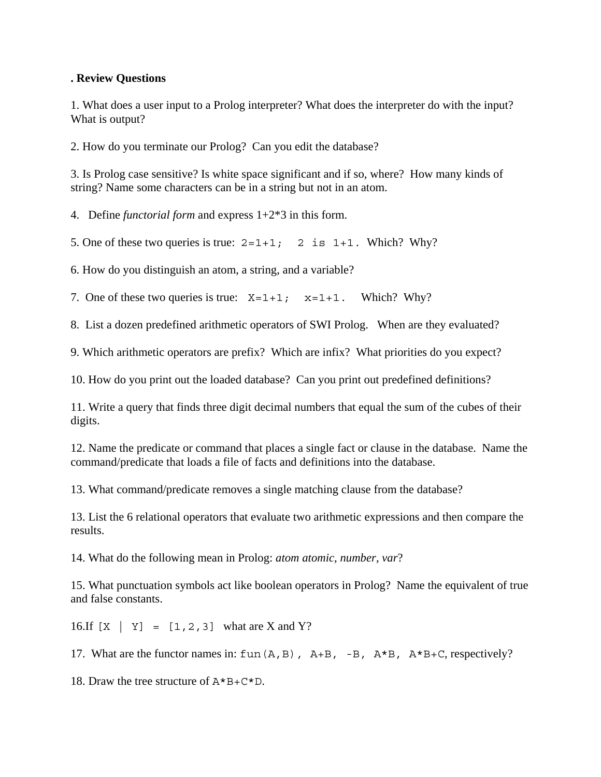## **. Review Questions**

1. What does a user input to a Prolog interpreter? What does the interpreter do with the input? What is output?

2. How do you terminate our Prolog? Can you edit the database?

3. Is Prolog case sensitive? Is white space significant and if so, where? How many kinds of string? Name some characters can be in a string but not in an atom.

4. Define *functorial form* and express 1+2\*3 in this form.

5. One of these two queries is true:  $2=1+1$ ; 2 is  $1+1$ . Which? Why?

6. How do you distinguish an atom, a string, and a variable?

7. One of these two queries is true:  $X=1+1$ ;  $X=1+1$ . Which? Why?

8. List a dozen predefined arithmetic operators of SWI Prolog. When are they evaluated?

9. Which arithmetic operators are prefix? Which are infix? What priorities do you expect?

10. How do you print out the loaded database? Can you print out predefined definitions?

11. Write a query that finds three digit decimal numbers that equal the sum of the cubes of their digits.

12. Name the predicate or command that places a single fact or clause in the database. Name the command/predicate that loads a file of facts and definitions into the database.

13. What command/predicate removes a single matching clause from the database?

13. List the 6 relational operators that evaluate two arithmetic expressions and then compare the results.

14. What do the following mean in Prolog: *atom atomic*, *number*, *var*?

15. What punctuation symbols act like boolean operators in Prolog? Name the equivalent of true and false constants.

16.If  $[X | Y] = [1, 2, 3]$  what are X and Y?

17. What are the functor names in:  $\text{fun}(A, B)$ ,  $A+B$ ,  $-B$ ,  $A*B$ ,  $A*B+C$ , respectively?

18. Draw the tree structure of  $A*B+C*D$ .